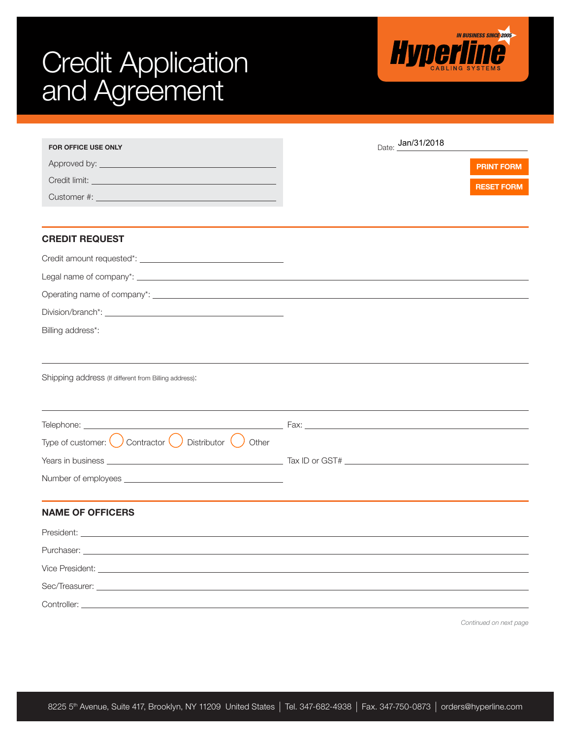## **IN BUSINESS SINCE 2005 Hyperline Credit Application** and Agreement Date: Jan/31/2018 FOR OFFICE USE ONLY Approved by: PRINT FORM Credit limit: RESET FORMCustomer #: CREDIT REQUEST Credit amount requested\*: Legal name of company\*: \_\_ Operating name of company\*: Division/branch\*: \_\_\_\_\_\_\_\_\_\_\_\_\_ Billing address\*: Shipping address (If different from Billing address): Telephone: Fax: Type of customer:  $\bigcirc$  Contractor  $\bigcirc$  Distributor  $\bigcirc$  Other Tax ID or GST# Years in business Number of employees \_\_\_\_\_\_\_\_\_\_\_\_\_\_\_ NAME OF OFFICERS President: \_\_ Purchaser: Vice President: Sec/Treasurer: Controller:

*Continued on next page*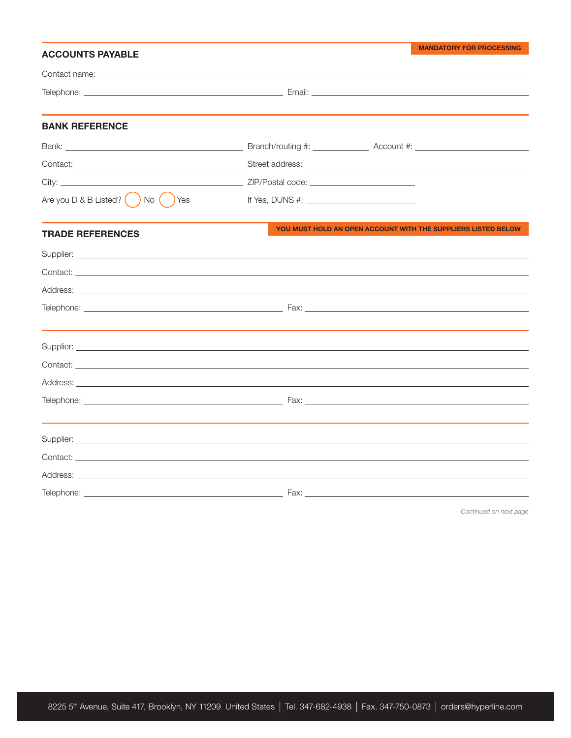| <b>ACCOUNTS PAYABLE</b>                                                                                                                                                                                                              |                                                                                                                                                                                                                                  | <b>MANDATORY FOR PROCESSING</b>                               |
|--------------------------------------------------------------------------------------------------------------------------------------------------------------------------------------------------------------------------------------|----------------------------------------------------------------------------------------------------------------------------------------------------------------------------------------------------------------------------------|---------------------------------------------------------------|
|                                                                                                                                                                                                                                      |                                                                                                                                                                                                                                  |                                                               |
|                                                                                                                                                                                                                                      |                                                                                                                                                                                                                                  |                                                               |
|                                                                                                                                                                                                                                      |                                                                                                                                                                                                                                  |                                                               |
| <b>BANK REFERENCE</b>                                                                                                                                                                                                                |                                                                                                                                                                                                                                  |                                                               |
|                                                                                                                                                                                                                                      |                                                                                                                                                                                                                                  |                                                               |
|                                                                                                                                                                                                                                      |                                                                                                                                                                                                                                  |                                                               |
|                                                                                                                                                                                                                                      |                                                                                                                                                                                                                                  |                                                               |
| Are you $D & B$ Listed? $\begin{pmatrix} 0 & 1 \end{pmatrix}$ No $\begin{pmatrix} 0 & 1 \end{pmatrix}$ Yes                                                                                                                           | If Yes, DUNS #: $\frac{1}{2}$ Manuscript Section 2.5 Manuscript Section 2.5 Manuscript Section 2.5 Manuscript Section 2.5 Manuscript Section 3.5 Manuscript Section 3.5 Manuscript Section 3.5 Manuscript Section 3.5 Manuscript |                                                               |
|                                                                                                                                                                                                                                      |                                                                                                                                                                                                                                  |                                                               |
| <b>TRADE REFERENCES</b>                                                                                                                                                                                                              |                                                                                                                                                                                                                                  | YOU MUST HOLD AN OPEN ACCOUNT WITH THE SUPPLIERS LISTED BELOW |
|                                                                                                                                                                                                                                      |                                                                                                                                                                                                                                  |                                                               |
|                                                                                                                                                                                                                                      |                                                                                                                                                                                                                                  |                                                               |
|                                                                                                                                                                                                                                      |                                                                                                                                                                                                                                  |                                                               |
|                                                                                                                                                                                                                                      |                                                                                                                                                                                                                                  |                                                               |
|                                                                                                                                                                                                                                      |                                                                                                                                                                                                                                  |                                                               |
|                                                                                                                                                                                                                                      |                                                                                                                                                                                                                                  |                                                               |
|                                                                                                                                                                                                                                      |                                                                                                                                                                                                                                  |                                                               |
|                                                                                                                                                                                                                                      |                                                                                                                                                                                                                                  |                                                               |
|                                                                                                                                                                                                                                      |                                                                                                                                                                                                                                  |                                                               |
|                                                                                                                                                                                                                                      |                                                                                                                                                                                                                                  |                                                               |
| Supplier: <u>Communications of the Communications of the Communications of the Communications of the Communications of the Communications of the Communications of the Communications of the Communications of the Communication</u> |                                                                                                                                                                                                                                  |                                                               |
|                                                                                                                                                                                                                                      |                                                                                                                                                                                                                                  |                                                               |
|                                                                                                                                                                                                                                      |                                                                                                                                                                                                                                  |                                                               |
|                                                                                                                                                                                                                                      |                                                                                                                                                                                                                                  |                                                               |
|                                                                                                                                                                                                                                      |                                                                                                                                                                                                                                  |                                                               |

*Continued on next page*